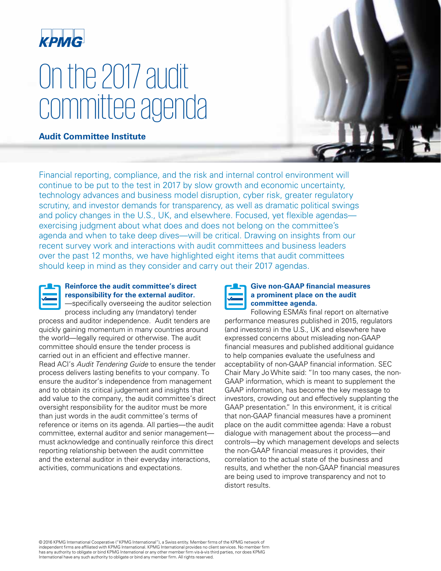

# On the 2017 audit committee agenda

**Audit Committee Institute**

Financial reporting, compliance, and the risk and internal control environment will continue to be put to the test in 2017 by slow growth and economic uncertainty, technology advances and business model disruption, cyber risk, greater regulatory scrutiny, and investor demands for transparency, as well as dramatic political swings and policy changes in the U.S., UK, and elsewhere. Focused, yet flexible agendas exercising judgment about what does and does not belong on the committee's agenda and when to take deep dives—will be critical. Drawing on insights from our recent survey work and interactions with audit committees and business leaders over the past 12 months, we have highlighted eight items that audit committees should keep in mind as they consider and carry out their 2017 agendas.



#### **Reinforce the audit committee's direct responsibility for the external auditor.**  —specifically overseeing the auditor selection

process including any (mandatory) tender process and auditor independence. Audit tenders are quickly gaining momentum in many countries around the world—legally required or otherwise. The audit committee should ensure the tender process is carried out in an efficient and effective manner. Read ACI's Audit Tendering Guide to ensure the tender process delivers lasting benefits to your company. To ensure the auditor's independence from management and to obtain its critical judgement and insights that add value to the company, the audit committee's direct oversight responsibility for the auditor must be more than just words in the audit committee's terms of reference or items on its agenda. All parties—the audit committee, external auditor and senior management must acknowledge and continually reinforce this direct reporting relationship between the audit committee and the external auditor in their everyday interactions, activities, communications and expectations.

## **Give non-GAAP financial measures a prominent place on the audit committee agenda.**

Following ESMA's final report on alternative performance measures published in 2015, regulators (and investors) in the U.S., UK and elsewhere have expressed concerns about misleading non-GAAP financial measures and published additional guidance to help companies evaluate the usefulness and acceptability of non-GAAP financial information. SEC Chair Mary Jo White said: "In too many cases, the non-GAAP information, which is meant to supplement the GAAP information, has become the key message to investors, crowding out and effectively supplanting the GAAP presentation." In this environment, it is critical that non-GAAP financial measures have a prominent place on the audit committee agenda: Have a robust dialogue with management about the process—and controls—by which management develops and selects the non-GAAP financial measures it provides, their correlation to the actual state of the business and results, and whether the non-GAAP financial measures are being used to improve transparency and not to distort results.

© 2016 KPMG International Cooperative ("KPMG International"), a Swiss entity. Member firms of the KPMG network of independent firms are affiliated with KPMG International. KPMG International provides no client services. No member firm<br>has any authority to obligate or bind KPMG International or any other member firm vis-à-vis third par International have any such authority to obligate or bind any member firm. All rights reserved.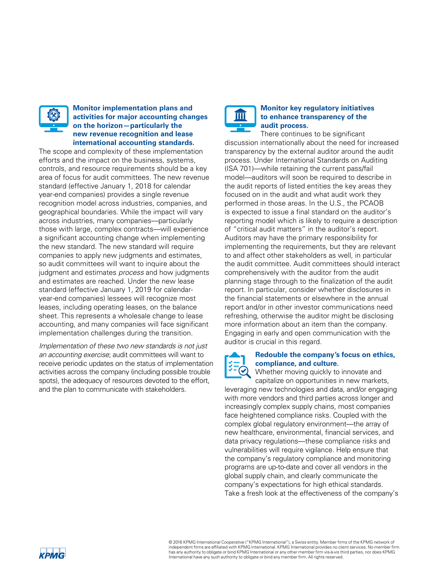

## **Monitor implementation plans and activities for major accounting changes on the horizon—particularly the new revenue recognition and lease international accounting standards.**

The scope and complexity of these implementation efforts and the impact on the business, systems, controls, and resource requirements should be a key area of focus for audit committees. The new revenue standard (effective January 1, 2018 for calendar year-end companies) provides a single revenue recognition model across industries, companies, and geographical boundaries. While the impact will vary across industries, many companies—particularly those with large, complex contracts—will experience a significant accounting change when implementing the new standard. The new standard will require companies to apply new judgments and estimates, so audit committees will want to inquire about the judgment and estimates process and how judgments and estimates are reached. Under the new lease standard (effective January 1, 2019 for calendaryear-end companies) lessees will recognize most leases, including operating leases, on the balance sheet. This represents a wholesale change to lease accounting, and many companies will face significant implementation challenges during the transition.

Implementation of these two new standards is not just an accounting exercise; audit committees will want to receive periodic updates on the status of implementation activities across the company (including possible trouble spots), the adequacy of resources devoted to the effort, and the plan to communicate with stakeholders.



### **Monitor key regulatory initiatives to enhance transparency of the audit process.**

There continues to be significant discussion internationally about the need for increased transparency by the external auditor around the audit process. Under International Standards on Auditing (ISA 701)—while retaining the current pass/fail model—auditors will soon be required to describe in the audit reports of listed entities the key areas they focused on in the audit and what audit work they performed in those areas. In the U.S., the PCAOB is expected to issue a final standard on the auditor's reporting model which is likely to require a description of "critical audit matters" in the auditor's report. Auditors may have the primary responsibility for implementing the requirements, but they are relevant to and affect other stakeholders as well, in particular the audit committee. Audit committees should interact comprehensively with the auditor from the audit planning stage through to the finalization of the audit report. In particular, consider whether disclosures in the financial statements or elsewhere in the annual report and/or in other investor communications need refreshing, otherwise the auditor might be disclosing more information about an item than the company. Engaging in early and open communication with the auditor is crucial in this regard.



# **Redouble the company's focus on ethics, compliance, and culture.**

Whether moving quickly to innovate and capitalize on opportunities in new markets, leveraging new technologies and data, and/or engaging with more vendors and third parties across longer and increasingly complex supply chains, most companies face heightened compliance risks. Coupled with the complex global regulatory environment—the array of new healthcare, environmental, financial services, and data privacy regulations—these compliance risks and vulnerabilities will require vigilance. Help ensure that the company's regulatory compliance and monitoring programs are up-to-date and cover all vendors in the global supply chain, and clearly communicate the company's expectations for high ethical standards. Take a fresh look at the effectiveness of the company's

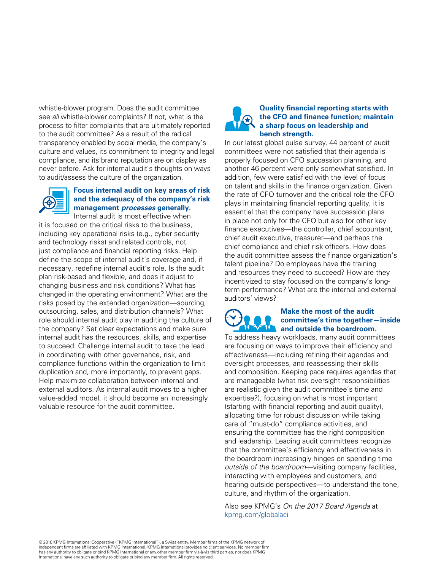whistle-blower program. Does the audit committee see all whistle-blower complaints? If not, what is the process to filter complaints that are ultimately reported to the audit committee? As a result of the radical transparency enabled by social media, the company's culture and values, its commitment to integrity and legal compliance, and its brand reputation are on display as never before. Ask for internal audit's thoughts on ways to audit/assess the culture of the organization.



# **Focus internal audit on key areas of risk and the adequacy of the company's risk management processes generally.**

Internal audit is most effective when it is focused on the critical risks to the business, including key operational risks (e.g., cyber security and technology risks) and related controls, not just compliance and financial reporting risks. Help define the scope of internal audit's coverage and, if necessary, redefine internal audit's role. Is the audit plan risk-based and flexible, and does it adjust to changing business and risk conditions? What has changed in the operating environment? What are the risks posed by the extended organization—sourcing, outsourcing, sales, and distribution channels? What role should internal audit play in auditing the culture of the company? Set clear expectations and make sure internal audit has the resources, skills, and expertise to succeed. Challenge internal audit to take the lead in coordinating with other governance, risk, and compliance functions within the organization to limit duplication and, more importantly, to prevent gaps. Help maximize collaboration between internal and external auditors. As internal audit moves to a higher value-added model, it should become an increasingly valuable resource for the audit committee.

# **Quality financial reporting starts with the CFO and finance function; maintain a sharp focus on leadership and bench strength.**

In our latest global pulse survey, 44 percent of audit committees were not satisfied that their agenda is properly focused on CFO succession planning, and another 46 percent were only somewhat satisfied. In addition, few were satisfied with the level of focus on talent and skills in the finance organization. Given the rate of CFO turnover and the critical role the CFO plays in maintaining financial reporting quality, it is essential that the company have succession plans in place not only for the CFO but also for other key finance executives—the controller, chief accountant, chief audit executive, treasurer—and perhaps the chief compliance and chief risk officers. How does the audit committee assess the finance organization's talent pipeline? Do employees have the training and resources they need to succeed? How are they incentivized to stay focused on the company's longterm performance? What are the internal and external auditors' views?

# **Make the most of the audit committee's time together—inside and outside the boardroom.**

To address heavy workloads, many audit committees are focusing on ways to improve their efficiency and effectiveness—including refining their agendas and oversight processes, and reassessing their skills and composition. Keeping pace requires agendas that are manageable (what risk oversight responsibilities are realistic given the audit committee's time and expertise?), focusing on what is most important (starting with financial reporting and audit quality), allocating time for robust discussion while taking care of "must-do" compliance activities, and ensuring the committee has the right composition and leadership. Leading audit committees recognize that the committee's efficiency and effectiveness in the boardroom increasingly hinges on spending time outside of the boardroom-visiting company facilities, interacting with employees and customers, and hearing outside perspectives—to understand the tone, culture, and rhythm of the organization.

Also see KPMG's On the 2017 Board Agenda at kpmg.com/globalaci